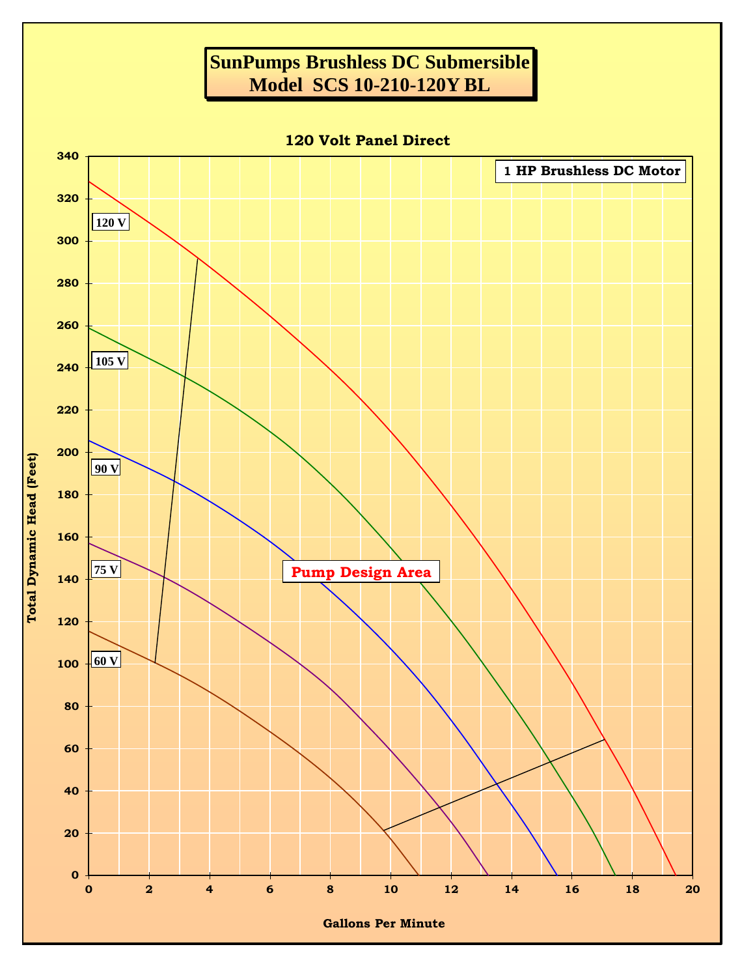## **SunPumps Brushless DC Submersible Model SCS 10-210-120Y BL**

**120 Volt Panel Direct**